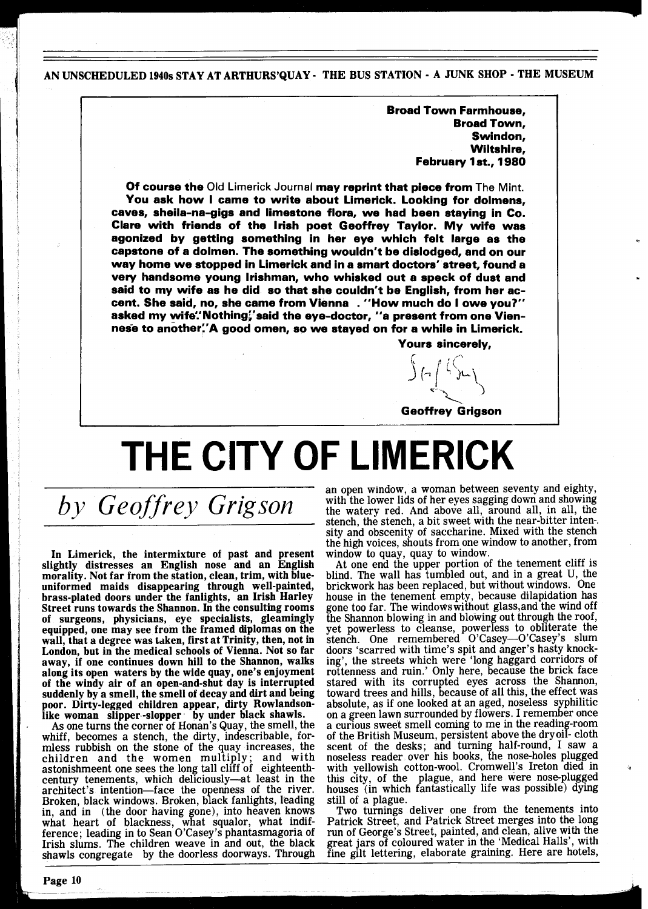AN UNSCHEDULED 1940s STAY AT ARTHURS'QUAY - THE BUS STATION - A JUNK SHOP - THE MUSEUM

**Broad Town Farmhouse, Broad Town, Swindon, Wiltshire, February 1 st., 1980** 

**Of course the Old Limerick Journal may reprint that piece from The Mint. You ask how I came to write about Limerick. Looking for dolmens, caves, sheila-na-gigs and limestone flora, we had been staying in Co. Clare with friends of the Irish poet Geoffrey Taylor. My wife was agonized by getting something in her eye which felt large as the capstone of a dolmen. The something wouldn't be dislodged, and on our way home we stopped in Limerick and in a smart doctors' street, found a very handsome young Irishman, who whisked out a speck of dust and said to my wife as he did so that she couldn't be English, from her accent. She said, no, she came from Vienna** . **"How much do I owe you?"**  asked my wife'.'Nothing','said the eye-doctor, "a present from one Viennese to another!'A good omen, so we stayed on for a while in Limerick.

**Yours sincerely,** 

 $\int$  (-  $\int$   $\int$   $\int$  )L

**Geoffrey Origson** 

## **THE CITY OF LIMERICK**

*by Geoffrey Grigson* 

In Limerick, the intermixture of past and present slightly distresses an English nose and an English morality. Not far from the station, clean, trim, with blueuniformed maids disappearing through well-painted, brass-plated doors under the fanlights, an Irish Harley Street runs towards the Shannon. In the consulting rooms of surgeons, physicians, eye specialists, gleamingly equipped, one may see from the framed diplomas on the wall, that a degree was taken, first at Trinity, then, not in London, but in the medical schools of Vienna. Not so far away, if one continues down hill to the Shannon, walks along its open waters by the wide quay, one's enjoyment of the windy air of an open-and-shut day is interrupted suddenly by a smell, the smell of decay and dirt and being poor. Dirty-legged children appear, dirty Rowlandsonlike woman slipper-slopper by under black shawls.

As one turns the corner of Honan's Quay, the smell, the whiff, becomes a stench, the dirty, indescribable, for-<br>mless rubbish on the stone of the quay increases, the children and the women multiply; and with astonishmeent one sees the long tall cliff of eighteenthcentury tenements, which deliciously-at least in the architect's intention—face the openness of the river.<br>Broken, black windows. Broken, black fanlights, leading Broken, black windows. Broken, black fanlights, leading<br>in, and in (the door having gone), into heaven knows what heart of blackness, what squalor, what indifference; leading in to Sean 07Casey's phantasmagoria of Irish slums. The children weave in and out, the black shawls congregate by the doorless doorways. Through

an open window, a woman between seventy and eighty, with the lower lids of her eyes sagging down and showing the watery red. And above all, around all, in all, the stench, the stench, a bit sweet with the near-bitter inten-. sity and obscenity of saccharine. Mixed with the stench the high voices, shouts from one window to another, from window to quay, quay to window.

At one end the upper portion of the tenement cliff is blind. The wall has tumbled out, and in a great U, the brickwork has been replaced, but without windows. One house in the tenement empty, because dilapidation has gone too far. The windows without glass, and the wind off the Shannon blowing in and blowing out through the roof, yet powerless to cleanse, powerless to obliterate the stench. One remembered O'Casey-O'Casey's slum doors 'scarred with time's spit and anger's hasty knocking', the streets which were 'long haggard corridors of rottenness and ruin.' Only here, because the brick face stared with its corrupted eyes across the Shannon, toward trees and hills, because of all this, the effect was absolute, as if one looked at an aged, noseless syphilitic on a green lawn surrounded by flowers. I remember once of the British Museum, persistent above the dryoil- cloth scent of the desks; and turning half-round, I saw a noseless reader over his books, the nose-holes plugged with yellowish cotton-wool. Cromwell's Ireton died in this city, of the plague, and here were nose-plugged houses (in which fantastically life was possible) dying still of a plague.

Two turnings deliver one from the tenements into Patrick Street, and Patrick Street merges into the long run of George's Street, painted, and clean, alive with the great jars of coloured water in the 'Medical Halls', with fine gilt lettering, elaborate graining. Here are hotels,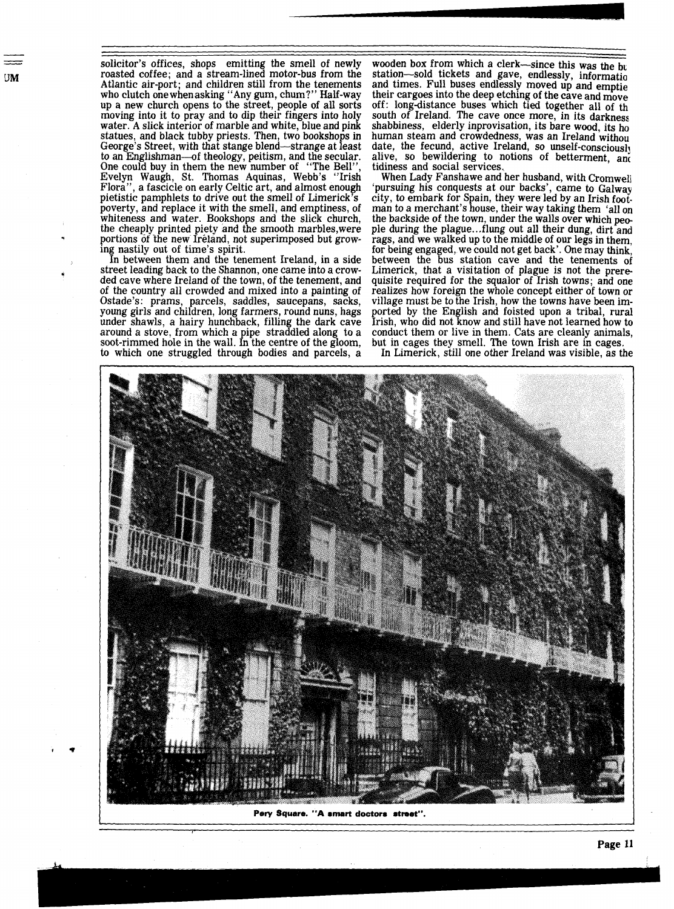solicitor's offices, shops emitting the smell of newly roasted coffee; and a stream-lined motor-bus from the Atlantic air-port; and children still from the tenements who clutch onewhenasking "Any gum, chum?" Half-way up a new church opens to the street, people of all sorts moving into it to pray and to dip their fingers into holy water. A slick interior of marble and white, blue and pink statues, and black tubby priests. Then, two bookshops in George's Street, with that stange blend-strange at least to an Englishman-af theology, peitism, and the secular. One could buy in them the new number of "The Bell" Evelyn Waugh, St. Thomas Aquinas, Webb's "1risA Flora", a fascicle on early Celtic art, and almost enough pietistic pamphlets to drive out the smell of Limerick's poverty, and replace it with the smell, and emptiness, of whiteness and water. Bookshops and the slick church, the cheaply printed piety and the smooth marbles, were portions of the new Ireland, not superimposed but growing nastily out of time's spirit.<br>In between them and the tenement Ireland, in a side<br>in between them and the tenement Ireland, in a side

**UM** 

street leading back to the Shannon, one came into a crowded cave where Ireland of the town, of the tenement, and of the country all crowded and mixed into a painting of Ostade's: prams, parcels, saddles, saucepans, sacks, young girls and children, long farmers, round nuns, hags young girls and children, long farmers, round nuns, hags<br>under shawls, a hairy hunchback, filling the dark cave around a stove, from which a pipe straddled along to a soot-rimmed hole in the wall. In the centre of the gloom, to which one struggled through bodies and parcels, a

,

wooden box from which a clerk-since this was the bt station-sold tickets and gave, endlessly, informatia and times. Full buses endlessly moved up and emptie their cargoes into the deep etching of the cave and move off: long-distance buses which tied together all of the south of Ireland. The cave once more, in its darkness shabbiness, elderly inprovisation, its bare wood, its ho human steam and crowdedness, was an Ireland withou date, the fecund, active Ireland, so unself-consciously alive, so bewildering to notions of betterment, and tidiness and social services.

When Lady Fanshawe and her husband, with Cromwell 'pursuing his conquests at our backs', came to Galway city, to embark for Spain, they were led by an Irish footman to a merchant's house, their way taking them 'all on the backside of the town, under the walls over which people during the plague.. .flung out all their dung, dirt and rags, and we walked up to the middle of our legs in them, for being engaged, we could not get back'. One may think, between the bus station cave and the tenements of Limerick, that a visitation of plague is not the prerequisite required for the squalor of Irish towns; and one realizes how foreign the whole concept either of town or village must be to the Irish, how the towns have been imported by the English and foisted upon a tribal, rural Irish, who did not know and still have not learned how to conduct them or live in them. Cats are cleanly animals, but in cages they smell. The town Irish are in cages.

In Limerick, still one other Ireland was visible, as the